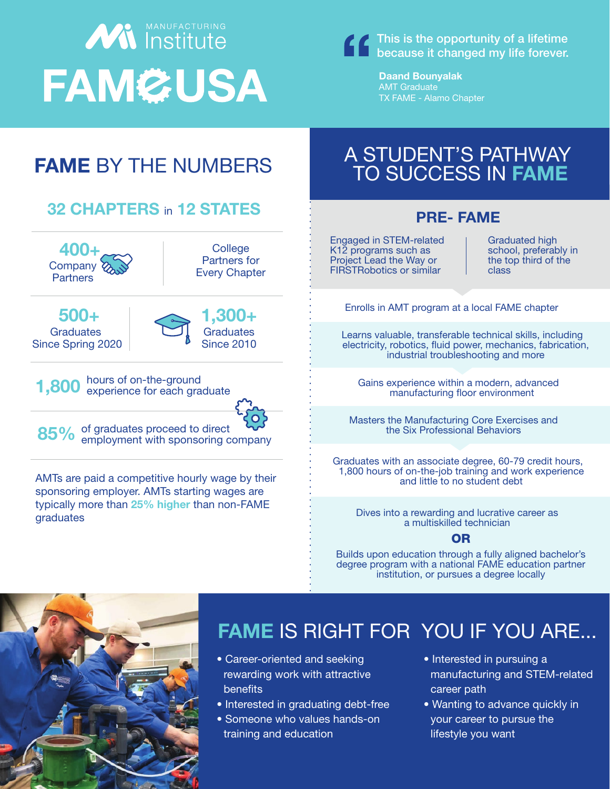## **With Institute FAM&USA**

This is the opportunity of a lifetime because it changed my life forever.

> Daand Bounyalak AMT Graduate TX FAME - Alamo Chapter

## PRE- FAME Engaged in STEM-related K12 programs such as Project Lead the Way or FIRSTRobotics or similar Graduated high school, preferably in the top third of the class Enrolls in AMT program at a local FAME chapter Learns valuable, transferable technical skills, including electricity, robotics, fluid power, mechanics, fabrication, industrial troubleshooting and more Gains experience within a modern, advanced manufacturing floor environment Masters the Manufacturing Core Exercises and the Six Professional Behaviors Graduates with an associate degree, 60-79 credit hours, 1,800 hours of on-the-job training and work experience and little to no student debt Dives into a rewarding and lucrative career as a multiskilled technician Builds upon education through a fully aligned bachelor's degree program with a national FAME education partner institution, or pursues a degree locally OR FAME BY THE NUMBERS AMTs are paid a competitive hourly wage by their sponsoring employer. AMTs starting wages are typically more than 25% higher than non-FAME graduates 500+ **Graduates** Since Spring 2020 1,300+ **Graduates** Since 2010 **1,800** hours of on-the-ground<br> **1,800** experience for each graduate 85% of graduates proceed to direct<br>85% employment with sponsoring company 32 CHAPTERS in 12 STATES 400+ **Company Partners College** Partners for Every Chapter A STUDENT'S PATHWAY TO SUCCESS IN FAME • Career-oriented and seeking FAME IS RIGHT FOR YOU IF YOU ARE... • Interested in pursuing a

- rewarding work with attractive benefits
- Interested in graduating debt-free
- Someone who values hands-on training and education
- manufacturing and STEM-related career path
- Wanting to advance quickly in your career to pursue the lifestyle you want